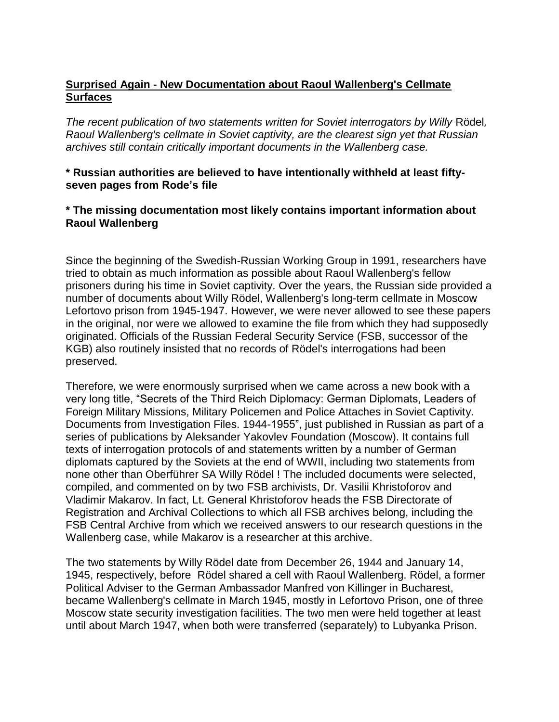## **Surprised Again - New Documentation about Raoul Wallenberg's Cellmate Surfaces**

*The recent publication of two statements written for Soviet interrogators by Willy* Rödel*, Raoul Wallenberg's cellmate in Soviet captivity, are the clearest sign yet that Russian archives still contain critically important documents in the Wallenberg case.*

## **\* Russian authorities are believed to have intentionally withheld at least fiftyseven pages from Rode's file**

## **\* The missing documentation most likely contains important information about Raoul Wallenberg**

Since the beginning of the Swedish-Russian Working Group in 1991, researchers have tried to obtain as much information as possible about Raoul Wallenberg's fellow prisoners during his time in Soviet captivity. Over the years, the Russian side provided a number of documents about Willy Rödel, Wallenberg's long-term cellmate in Moscow Lefortovo prison from 1945-1947. However, we were never allowed to see these papers in the original, nor were we allowed to examine the file from which they had supposedly originated. Officials of the Russian Federal Security Service (FSB, successor of the KGB) also routinely insisted that no records of Rödel's interrogations had been preserved.

Therefore, we were enormously surprised when we came across a new book with a very long title, "Secrets of the Third Reich Diplomacy: German Diplomats, Leaders of Foreign Military Missions, Military Policemen and Police Attaches in Soviet Captivity. Documents from Investigation Files. 1944-1955", just published in Russian as part of a series of publications by Aleksander Yakovlev Foundation (Moscow). It contains full texts of interrogation protocols of and statements written by a number of German diplomats captured by the Soviets at the end of WWII, including two statements from none other than Oberführer SA Willy Rödel ! The included documents were selected, compiled, and commented on by two FSB archivists, Dr. Vasilii Khristoforov and Vladimir Makarov. In fact, Lt. General Khristoforov heads the FSB Directorate of Registration and Archival Collections to which all FSB archives belong, including the FSB Central Archive from which we received answers to our research questions in the Wallenberg case, while Makarov is a researcher at this archive.

The two statements by Willy Rödel date from December 26, 1944 and January 14, 1945, respectively, before Rödel shared a cell with Raoul Wallenberg. Rödel, a former Political Adviser to the German Ambassador Manfred von Killinger in Bucharest, became Wallenberg's cellmate in March 1945, mostly in Lefortovo Prison, one of three Moscow state security investigation facilities. The two men were held together at least until about March 1947, when both were transferred (separately) to Lubyanka Prison.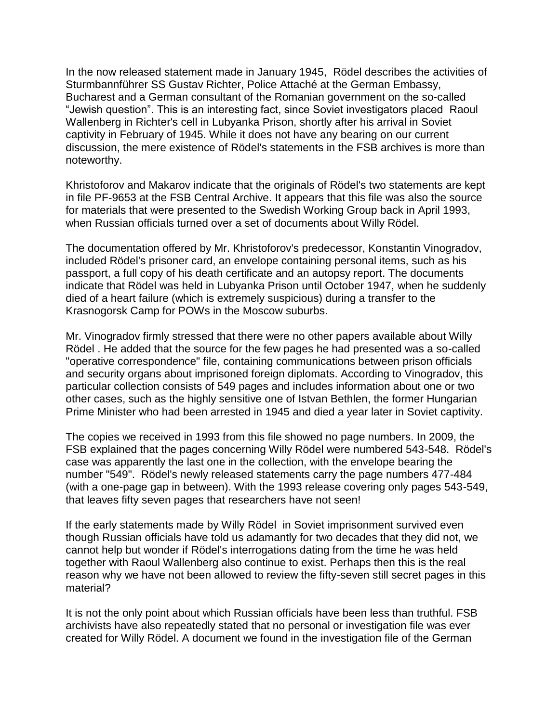In the now released statement made in January 1945, Rödel describes the activities of Sturmbannführer SS Gustav Richter, Police Attaché at the German Embassy, Bucharest and a German consultant of the Romanian government on the so-called "Jewish question". This is an interesting fact, since Soviet investigators placed Raoul Wallenberg in Richter's cell in Lubyanka Prison, shortly after his arrival in Soviet captivity in February of 1945. While it does not have any bearing on our current discussion, the mere existence of Rödel's statements in the FSB archives is more than noteworthy.

Khristoforov and Makarov indicate that the originals of Rödel's two statements are kept in file PF-9653 at the FSB Central Archive. It appears that this file was also the source for materials that were presented to the Swedish Working Group back in April 1993, when Russian officials turned over a set of documents about Willy Rödel.

The documentation offered by Mr. Khristoforov's predecessor, Konstantin Vinogradov, included Rödel's prisoner card, an envelope containing personal items, such as his passport, a full copy of his death certificate and an autopsy report. The documents indicate that Rödel was held in Lubyanka Prison until October 1947, when he suddenly died of a heart failure (which is extremely suspicious) during a transfer to the Krasnogorsk Camp for POWs in the Moscow suburbs.

Mr. Vinogradov firmly stressed that there were no other papers available about Willy Rödel . He added that the source for the few pages he had presented was a so-called "operative correspondence" file, containing communications between prison officials and security organs about imprisoned foreign diplomats. According to Vinogradov, this particular collection consists of 549 pages and includes information about one or two other cases, such as the highly sensitive one of Istvan Bethlen, the former Hungarian Prime Minister who had been arrested in 1945 and died a year later in Soviet captivity.

The copies we received in 1993 from this file showed no page numbers. In 2009, the FSB explained that the pages concerning Willy Rödel were numbered 543-548. Rödel's case was apparently the last one in the collection, with the envelope bearing the number "549". Rödel's newly released statements carry the page numbers 477-484 (with a one-page gap in between). With the 1993 release covering only pages 543-549, that leaves fifty seven pages that researchers have not seen!

If the early statements made by Willy Rödel in Soviet imprisonment survived even though Russian officials have told us adamantly for two decades that they did not, we cannot help but wonder if Rödel's interrogations dating from the time he was held together with Raoul Wallenberg also continue to exist. Perhaps then this is the real reason why we have not been allowed to review the fifty-seven still secret pages in this material?

It is not the only point about which Russian officials have been less than truthful. FSB archivists have also repeatedly stated that no personal or investigation file was ever created for Willy Rödel. A document we found in the investigation file of the German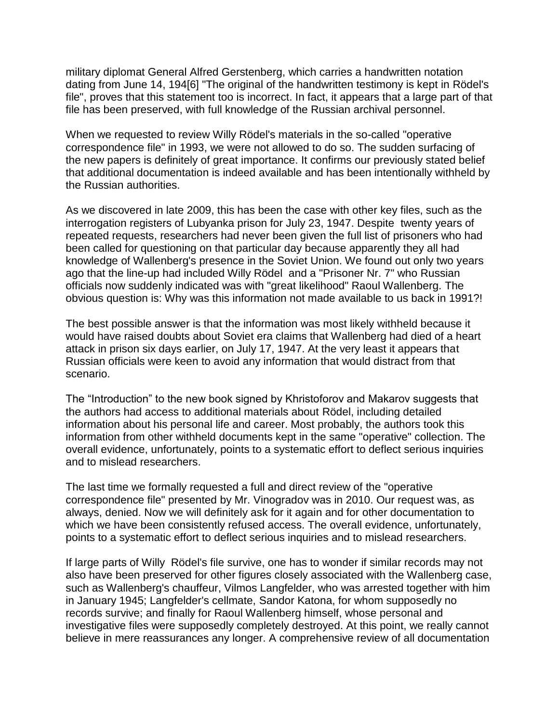military diplomat General Alfred Gerstenberg, which carries a handwritten notation dating from June 14, 194[6] "The original of the handwritten testimony is kept in Rödel's file", proves that this statement too is incorrect. In fact, it appears that a large part of that file has been preserved, with full knowledge of the Russian archival personnel.

When we requested to review Willy Rödel's materials in the so-called "operative correspondence file" in 1993, we were not allowed to do so. The sudden surfacing of the new papers is definitely of great importance. It confirms our previously stated belief that additional documentation is indeed available and has been intentionally withheld by the Russian authorities.

As we discovered in late 2009, this has been the case with other key files, such as the interrogation registers of Lubyanka prison for July 23, 1947. Despite twenty years of repeated requests, researchers had never been given the full list of prisoners who had been called for questioning on that particular day because apparently they all had knowledge of Wallenberg's presence in the Soviet Union. We found out only two years ago that the line-up had included Willy Rödel and a "Prisoner Nr. 7" who Russian officials now suddenly indicated was with "great likelihood" Raoul Wallenberg. The obvious question is: Why was this information not made available to us back in 1991?!

The best possible answer is that the information was most likely withheld because it would have raised doubts about Soviet era claims that Wallenberg had died of a heart attack in prison six days earlier, on July 17, 1947. At the very least it appears that Russian officials were keen to avoid any information that would distract from that scenario.

The "Introduction" to the new book signed by Khristoforov and Makarov suggests that the authors had access to additional materials about Rödel, including detailed information about his personal life and career. Most probably, the authors took this information from other withheld documents kept in the same "operative" collection. The overall evidence, unfortunately, points to a systematic effort to deflect serious inquiries and to mislead researchers.

The last time we formally requested a full and direct review of the "operative correspondence file" presented by Mr. Vinogradov was in 2010. Our request was, as always, denied. Now we will definitely ask for it again and for other documentation to which we have been consistently refused access. The overall evidence, unfortunately, points to a systematic effort to deflect serious inquiries and to mislead researchers.

If large parts of Willy Rödel's file survive, one has to wonder if similar records may not also have been preserved for other figures closely associated with the Wallenberg case, such as Wallenberg's chauffeur, Vilmos Langfelder, who was arrested together with him in January 1945; Langfelder's cellmate, Sandor Katona, for whom supposedly no records survive; and finally for Raoul Wallenberg himself, whose personal and investigative files were supposedly completely destroyed. At this point, we really cannot believe in mere reassurances any longer. A comprehensive review of all documentation